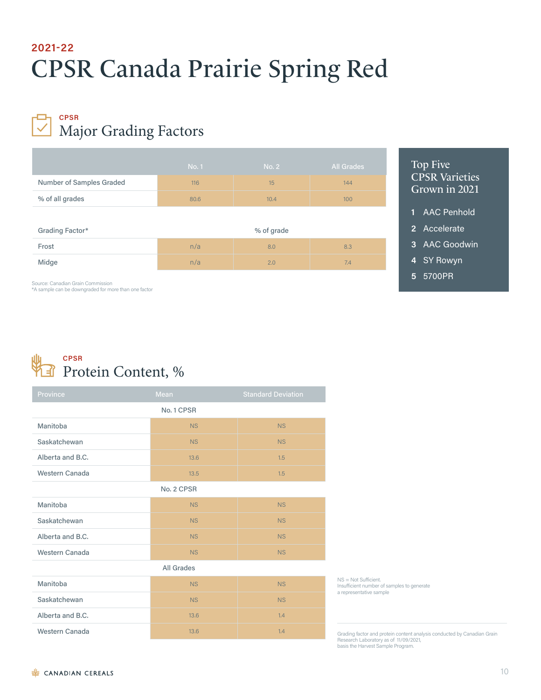# CPSR Canada Prairie Spring Red **2021-22**

### Major Grading Factors **CPSR**

|                          | <b>No. 1</b> | No. 2 | <b>All Grades</b> |  |
|--------------------------|--------------|-------|-------------------|--|
| Number of Samples Graded | 116          | 15    | 144               |  |
| % of all grades          | 80.6         | 10.4  | 100               |  |
|                          |              |       |                   |  |
| Grading Factor*          | % of grade   |       |                   |  |
| Frost                    | n/a          | 8.0   | 8.3               |  |
| Midge                    | n/a          | 2.0   | 7.4               |  |

### Top Five CPSR Varieties Grown in 2021

- **1** AAC Penhold
- **2** Accelerate
- **3** AAC Goodwin
- **4** SY Rowyn
- **5** 5700PR

Source: Canadian Grain Commission \*A sample can be downgraded for more than one factor



| Province              | Mean      | <b>Standard Deviation</b> |  |  |  |  |
|-----------------------|-----------|---------------------------|--|--|--|--|
| No. 1 CPSR            |           |                           |  |  |  |  |
| Manitoba              | <b>NS</b> | NS                        |  |  |  |  |
| Saskatchewan          | <b>NS</b> | <b>NS</b>                 |  |  |  |  |
| Alberta and B.C.      | 13.6      | 1.5                       |  |  |  |  |
| <b>Western Canada</b> | 13.5      | 1.5                       |  |  |  |  |
| No. 2 CPSR            |           |                           |  |  |  |  |
| Manitoba              | <b>NS</b> | NS                        |  |  |  |  |
| Saskatchewan          | <b>NS</b> | <b>NS</b>                 |  |  |  |  |
| Alberta and B.C.      | <b>NS</b> | <b>NS</b>                 |  |  |  |  |
| Western Canada        | <b>NS</b> | NS                        |  |  |  |  |
| All Grades            |           |                           |  |  |  |  |
| Manitoba              | <b>NS</b> | <b>NS</b>                 |  |  |  |  |
| Saskatchewan          | <b>NS</b> | <b>NS</b>                 |  |  |  |  |
| Alberta and B.C.      | 13.6      | 1.4                       |  |  |  |  |
| Western Canada        | 13.6      | 1.4                       |  |  |  |  |

NS = Not Sufficient. Insufficient number of samples to generate a representative sample

Grading factor and protein content analysis conducted by Canadian Grain Research Laboratory as of 11/09/2021, basis the Harvest Sample Program.